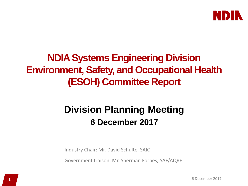

# **NDIA Systems Engineering Division Environment, Safety, and Occupational Health (ESOH) Committee Report**

# **Division Planning Meeting 6 December 2017**

Industry Chair: Mr. David Schulte, SAIC

Government Liaison: Mr. Sherman Forbes, SAF/AQRE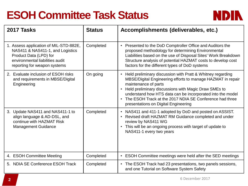# **ESOH Committee Task Status**



| 2017 Tasks                                                                                                                                                              | <b>Status</b> | Accomplishments (deliverables, etc.)                                                                                                                                                                                                                                                                                                                                                                   |
|-------------------------------------------------------------------------------------------------------------------------------------------------------------------------|---------------|--------------------------------------------------------------------------------------------------------------------------------------------------------------------------------------------------------------------------------------------------------------------------------------------------------------------------------------------------------------------------------------------------------|
| 1. Assess application of MIL-STD-882E,<br>NAS411 & NAS411-1, and Logistics<br>Product Data (LPD) for<br>environmental liabilities audit<br>reporting for weapon systems | Completed     | Presented to the DoD Comptroller Office and Auditors the<br>$\bullet$<br>proposed methodology for determining Environmental<br>Liabilities based on the use of Disposal Sites' Work Breakdown<br>Structure analysis of potential HAZMAT costs to develop cost<br>factors for the different types of DoD systems                                                                                        |
| 2. Evaluate inclusion of ESOH risks<br>and requirements in MBSE/Digital<br>Engineering                                                                                  | On going      | • Held preliminary discussion with Pratt & Whitney regarding<br>MBSE/Digital Engineering efforts to manage HAZMAT in repair<br>maintenance of parts<br>Held preliminary discussions with Magic Draw SMEs to<br>$\bullet$<br>understand how HTS data can be incorporated into the model<br>The ESOH Track at the 2017 NDIA SE Conference had three<br>$\bullet$<br>presentations on Digital Engineering |
| 3. Update NAS411 and NAS411-1 to<br>align language & AD-DSL, and<br>continue with HAZMAT Risk<br><b>Management Guidance</b>                                             | Completed     | • NAS411 and 411-1 adopted by DoD and posted on ASSIST.<br>• Revised draft HAZMAT RM Guidance completed and under<br>review by NAS411 WG<br>This will be an ongoing process with target of update to<br>$\bullet$<br>NAS411-1 every two years                                                                                                                                                          |
| 4. ESOH Committee Meeting                                                                                                                                               | Completed     | • ESOH Committee meetings were held after the SED meetings                                                                                                                                                                                                                                                                                                                                             |
| 5. NDIA SE Conference ESOH Track                                                                                                                                        | Completed     | • The ESOH Track had 23 presentations, two panels sessions,<br>and one Tutorial on Software System Safety                                                                                                                                                                                                                                                                                              |